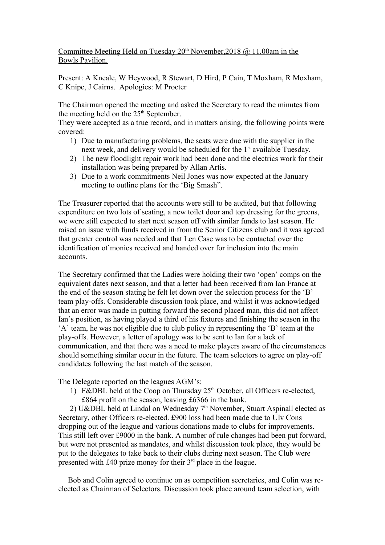## Committee Meeting Held on Tuesday 20<sup>th</sup> November, 2018 @ 11.00am in the Bowls Pavilion.

Present: A Kneale, W Heywood, R Stewart, D Hird, P Cain, T Moxham, R Moxham, C Knipe, J Cairns. Apologies: M Procter

The Chairman opened the meeting and asked the Secretary to read the minutes from the meeting held on the  $25<sup>th</sup>$  September.

They were accepted as a true record, and in matters arising, the following points were covered:

- 1) Due to manufacturing problems, the seats were due with the supplier in the next week, and delivery would be scheduled for the 1<sup>st</sup> available Tuesday.
- 2) The new floodlight repair work had been done and the electrics work for their installation was being prepared by Allan Artis.
- 3) Due to a work commitments Neil Jones was now expected at the January meeting to outline plans for the 'Big Smash".

The Treasurer reported that the accounts were still to be audited, but that following expenditure on two lots of seating, a new toilet door and top dressing for the greens, we were still expected to start next season off with similar funds to last season. He raised an issue with funds received in from the Senior Citizens club and it was agreed that greater control was needed and that Len Case was to be contacted over the identification of monies received and handed over for inclusion into the main accounts.

The Secretary confirmed that the Ladies were holding their two 'open' comps on the equivalent dates next season, and that a letter had been received from Ian France at the end of the season stating he felt let down over the selection process for the 'B' team play-offs. Considerable discussion took place, and whilst it was acknowledged that an error was made in putting forward the second placed man, this did not affect Ian's position, as having played a third of his fixtures and finishing the season in the 'A' team, he was not eligible due to club policy in representing the 'B' team at the play-offs. However, a letter of apology was to be sent to Ian for a lack of communication, and that there was a need to make players aware of the circumstances should something similar occur in the future. The team selectors to agree on play-off candidates following the last match of the season.

The Delegate reported on the leagues AGM's:

1) F&DBL held at the Coop on Thursday  $25<sup>th</sup>$  October, all Officers re-elected. £864 profit on the season, leaving £6366 in the bank.

2) U&DBL held at Lindal on Wednesday  $7<sup>th</sup>$  November, Stuart Aspinall elected as Secretary, other Officers re-elected. £900 loss had been made due to Ulv Cons dropping out of the league and various donations made to clubs for improvements. This still left over £9000 in the bank. A number of rule changes had been put forward, but were not presented as mandates, and whilst discussion took place, they would be put to the delegates to take back to their clubs during next season. The Club were presented with £40 prize money for their 3<sup>rd</sup> place in the league.

 Bob and Colin agreed to continue on as competition secretaries, and Colin was reelected as Chairman of Selectors. Discussion took place around team selection, with